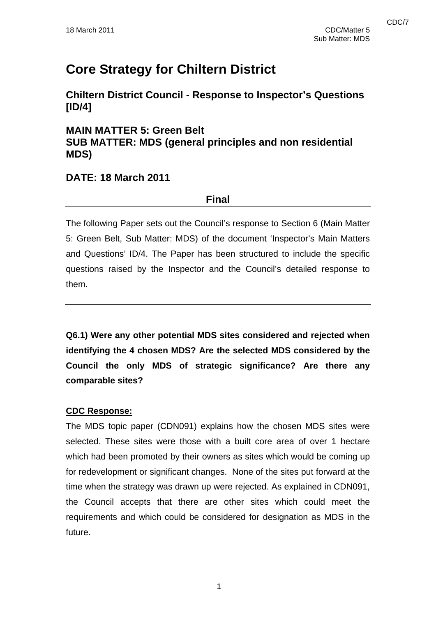# **Core Strategy for Chiltern District**

**Chiltern District Council - Response to Inspector's Questions [ID/4]** 

**MAIN MATTER 5: Green Belt SUB MATTER: MDS (general principles and non residential MDS)** 

## **DATE: 18 March 2011**

### **Final**

The following Paper sets out the Council's response to Section 6 (Main Matter 5: Green Belt, Sub Matter: MDS) of the document 'Inspector's Main Matters and Questions' ID/4. The Paper has been structured to include the specific questions raised by the Inspector and the Council's detailed response to them.

**Q6.1) Were any other potential MDS sites considered and rejected when identifying the 4 chosen MDS? Are the selected MDS considered by the Council the only MDS of strategic significance? Are there any comparable sites?** 

#### **CDC Response:**

The MDS topic paper (CDN091) explains how the chosen MDS sites were selected. These sites were those with a built core area of over 1 hectare which had been promoted by their owners as sites which would be coming up for redevelopment or significant changes. None of the sites put forward at the time when the strategy was drawn up were rejected. As explained in CDN091, the Council accepts that there are other sites which could meet the requirements and which could be considered for designation as MDS in the future.

1